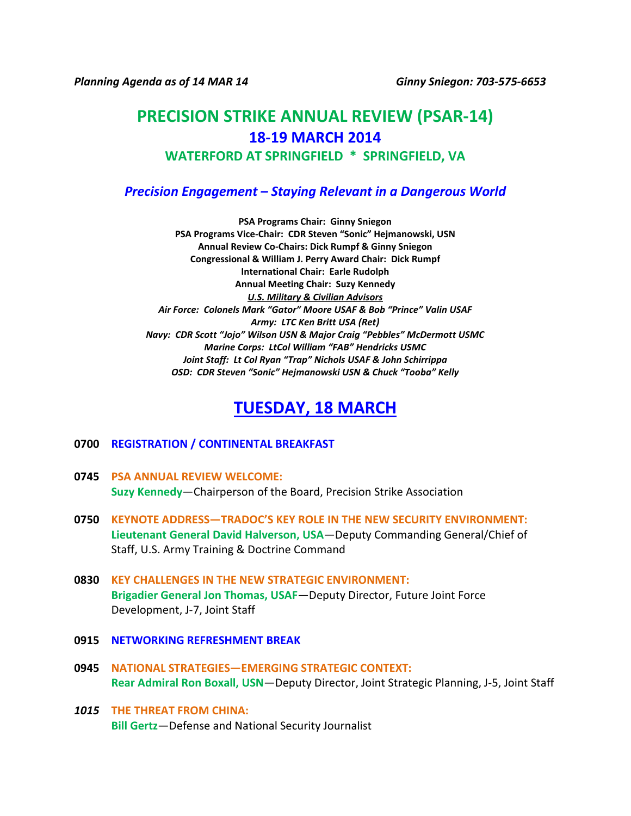*Planning Agenda as of 14 MAR 14 Ginny Sniegon: 703-575-6653* 

# **PRECISION STRIKE ANNUAL REVIEW (PSAR-14) 18-19 MARCH 2014 WATERFORD AT SPRINGFIELD \* SPRINGFIELD, VA**

### *Precision Engagement – Staying Relevant in a Dangerous World*

**PSA Programs Chair: Ginny Sniegon PSA Programs Vice-Chair: CDR Steven "Sonic" Hejmanowski, USN Annual Review Co-Chairs: Dick Rumpf & Ginny Sniegon Congressional & William J. Perry Award Chair: Dick Rumpf International Chair: Earle Rudolph Annual Meeting Chair: Suzy Kennedy** *U.S. Military & Civilian Advisors Air Force: Colonels Mark "Gator" Moore USAF & Bob "Prince" Valin USAF Army: LTC Ken Britt USA (Ret) Navy: CDR Scott "Jojo" Wilson USN & Major Craig "Pebbles" McDermott USMC Marine Corps: LtCol William "FAB" Hendricks USMC Joint Staff: Lt Col Ryan "Trap" Nichols USAF & John Schirrippa OSD: CDR Steven "Sonic" Hejmanowski USN & Chuck "Tooba" Kelly*

## **TUESDAY, 18 MARCH**

#### **0700 REGISTRATION / CONTINENTAL BREAKFAST**

- **0745 PSA ANNUAL REVIEW WELCOME: Suzy Kennedy**—Chairperson of the Board, Precision Strike Association
- **0750 KEYNOTE ADDRESS—TRADOC'S KEY ROLE IN THE NEW SECURITY ENVIRONMENT: Lieutenant General David Halverson, USA**—Deputy Commanding General/Chief of Staff, U.S. Army Training & Doctrine Command
- **0830 KEY CHALLENGES IN THE NEW STRATEGIC ENVIRONMENT: Brigadier General Jon Thomas, USAF**—Deputy Director, Future Joint Force Development, J-7, Joint Staff
- **0915 NETWORKING REFRESHMENT BREAK**
- **0945 NATIONAL STRATEGIES—EMERGING STRATEGIC CONTEXT: Rear Admiral Ron Boxall, USN**—Deputy Director, Joint Strategic Planning, J-5, Joint Staff
- *1015* **THE THREAT FROM CHINA: Bill Gertz**—Defense and National Security Journalist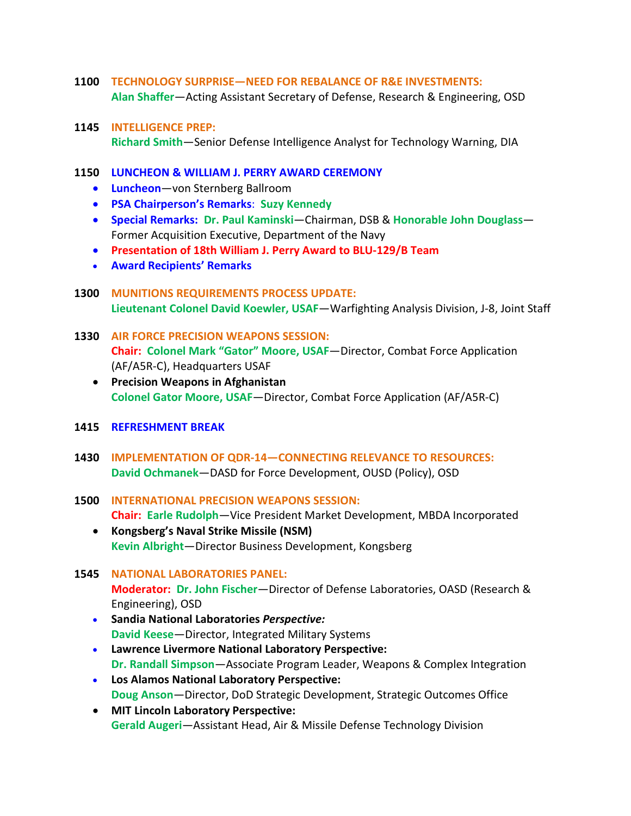- **1100 TECHNOLOGY SURPRISE—NEED FOR REBALANCE OF R&E INVESTMENTS: Alan Shaffer**—Acting Assistant Secretary of Defense, Research & Engineering, OSD
- **1145 INTELLIGENCE PREP: Richard Smith**—Senior Defense Intelligence Analyst for Technology Warning, DIA

#### **1150 LUNCHEON & WILLIAM J. PERRY AWARD CEREMONY**

- **Luncheon**—von Sternberg Ballroom
- **PSA Chairperson's Remarks**: **Suzy Kennedy**
- **Special Remarks: Dr. Paul Kaminski**—Chairman, DSB & **Honorable John Douglass** Former Acquisition Executive, Department of the Navy
- **Presentation of 18th William J. Perry Award to BLU-129/B Team**
- **Award Recipients' Remarks**
- **1300 MUNITIONS REQUIREMENTS PROCESS UPDATE: Lieutenant Colonel David Koewler, USAF**—Warfighting Analysis Division, J-8, Joint Staff
- **1330 AIR FORCE PRECISION WEAPONS SESSION: Chair: Colonel Mark "Gator" Moore, USAF**—Director, Combat Force Application (AF/A5R-C), Headquarters USAF
	- **Precision Weapons in Afghanistan Colonel Gator Moore, USAF**—Director, Combat Force Application (AF/A5R-C)
- **1415 REFRESHMENT BREAK**
- **1430 IMPLEMENTATION OF QDR-14—CONNECTING RELEVANCE TO RESOURCES: David Ochmanek**—DASD for Force Development, OUSD (Policy), OSD
- **1500 INTERNATIONAL PRECISION WEAPONS SESSION: Chair: Earle Rudolph**—Vice President Market Development, MBDA Incorporated
	- **Kongsberg's Naval Strike Missile (NSM) Kevin Albright**—Director Business Development, Kongsberg

### **1545 NATIONAL LABORATORIES PANEL: Moderator: Dr. John Fischer**—Director of Defense Laboratories, OASD (Research & Engineering), OSD

- **Sandia National Laboratories** *Perspective:* **David Keese**—Director, Integrated Military Systems
- **Lawrence Livermore National Laboratory Perspective: Dr. Randall Simpson**—Associate Program Leader, Weapons & Complex Integration
- **Los Alamos National Laboratory Perspective: Doug Anson**—Director, DoD Strategic Development, Strategic Outcomes Office
- **MIT Lincoln Laboratory Perspective: Gerald Augeri**—Assistant Head, Air & Missile Defense Technology Division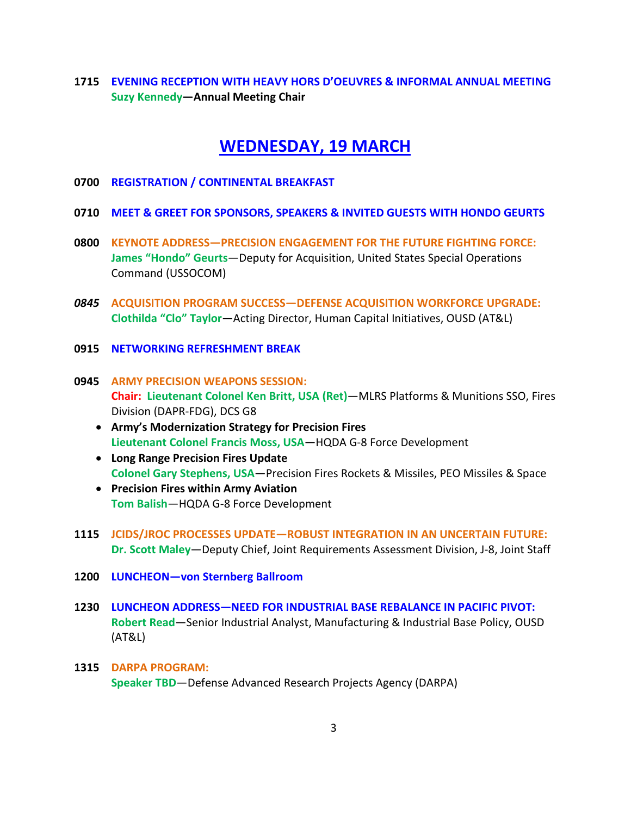**1715 EVENING RECEPTION WITH HEAVY HORS D'OEUVRES & INFORMAL ANNUAL MEETING Suzy Kennedy—Annual Meeting Chair**

### **WEDNESDAY, 19 MARCH**

- **0700 REGISTRATION / CONTINENTAL BREAKFAST**
- **0710 MEET & GREET FOR SPONSORS, SPEAKERS & INVITED GUESTS WITH HONDO GEURTS**
- **0800 KEYNOTE ADDRESS—PRECISION ENGAGEMENT FOR THE FUTURE FIGHTING FORCE: James "Hondo" Geurts**—Deputy for Acquisition, United States Special Operations Command (USSOCOM)
- *0845* **ACQUISITION PROGRAM SUCCESS—DEFENSE ACQUISITION WORKFORCE UPGRADE: Clothilda "Clo" Taylor**—Acting Director, Human Capital Initiatives, OUSD (AT&L)
- **0915 NETWORKING REFRESHMENT BREAK**
- **0945 ARMY PRECISION WEAPONS SESSION: Chair: Lieutenant Colonel Ken Britt, USA (Ret)**—MLRS Platforms & Munitions SSO, Fires Division (DAPR-FDG), DCS G8
	- **Army's Modernization Strategy for Precision Fires Lieutenant Colonel Francis Moss, USA**—HQDA G-8 Force Development
	- **Long Range Precision Fires Update Colonel Gary Stephens, USA**—Precision Fires Rockets & Missiles, PEO Missiles & Space
	- **Precision Fires within Army Aviation Tom Balish**—HQDA G-8 Force Development
- **1115 JCIDS/JROC PROCESSES UPDATE—ROBUST INTEGRATION IN AN UNCERTAIN FUTURE: Dr. Scott Maley**—Deputy Chief, Joint Requirements Assessment Division, J-8, Joint Staff
- **1200 LUNCHEON—von Sternberg Ballroom**
- **1230 LUNCHEON ADDRESS—NEED FOR INDUSTRIAL BASE REBALANCE IN PACIFIC PIVOT: Robert Read**—Senior Industrial Analyst, Manufacturing & Industrial Base Policy, OUSD (AT&L)
- **1315 DARPA PROGRAM: Speaker TBD**—Defense Advanced Research Projects Agency (DARPA)